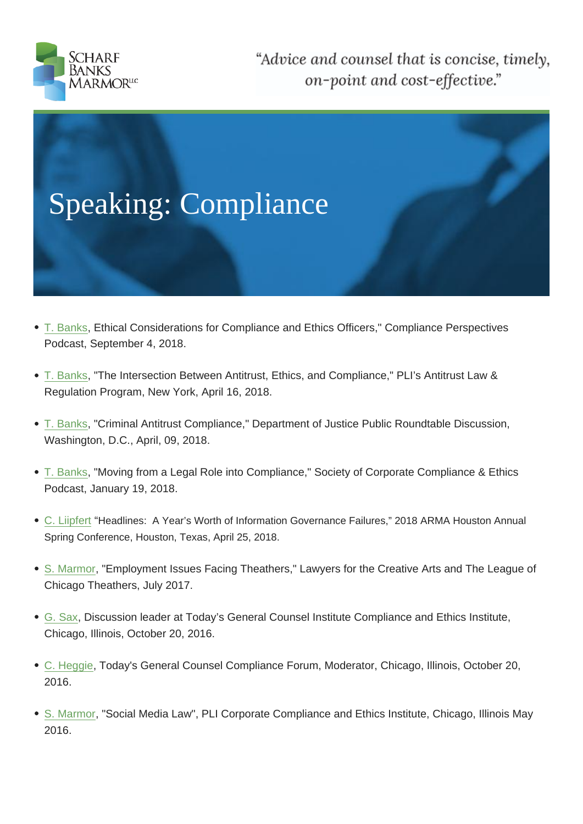- T. Banks, Ethical Considerations for Compliance and Ethics Officers," Compliance Perspectives Podcast, September 4, 2018.
- [T. Banks,](https://www.scharfbanks.com/who-we-are/attorneys/theodore-l-banks) "The Intersection Between Antitrust, Ethics, and Compliance," PLI's Antitrust Law & Regulation Program, New York, April 16, 2018.
- [T. Banks,](https://www.scharfbanks.com/who-we-are/attorneys/theodore-l-banks) "Criminal Antitrust Compliance," Department of Justice Public Roundtable Discussion, Washington, D.C., April, 09, 2018.
- [T. Banks,](https://www.scharfbanks.com/who-we-are/attorneys/theodore-l-banks) "Moving from a Legal Role into Compliance," Society of Corporate Compliance & Ethics Podcast, January 19, 2018.
- [C. Liipfer](https://www.scharfbanks.com/who-we-are/attorneys/theodore-l-banks)t "Headlines: A Year's Worth of Information Governance Failures," 2018 ARMA Houston Annual Spring Conference, Houston, Texas, April 25, 2018.
- [S. Marmo](https://www.scharfbanks.com/who-we-are/attorneys/christian-liipfert)r, "Employment Issues Facing Theathers," Lawyers for the Creative Arts and The League of Chicago Theathers, July 2017.
- [G. Sax, Dis](https://www.scharfbanks.com/who-we-are/attorneys/sarah-r-marmor)cussion leader at Today's General Counsel Institute Compliance and Ethics Institute, Chicago, Illinois, October 20, 2016.
- [C. Heg](http://nw2017.scharfbanks.com/who-we-are/attorneys/george-d-sax)gie, Today's General Counsel Compliance Forum, Moderator, Chicago, Illinois, October 20, 2016.
- [S. Marmor](http://nw2017.scharfbanks.com/who-we-are/attorneys/corinne-c-heggie), "Social Media Law", PLI Corporate Compliance and Ethics Institute, Chicago, Illinois May 2016.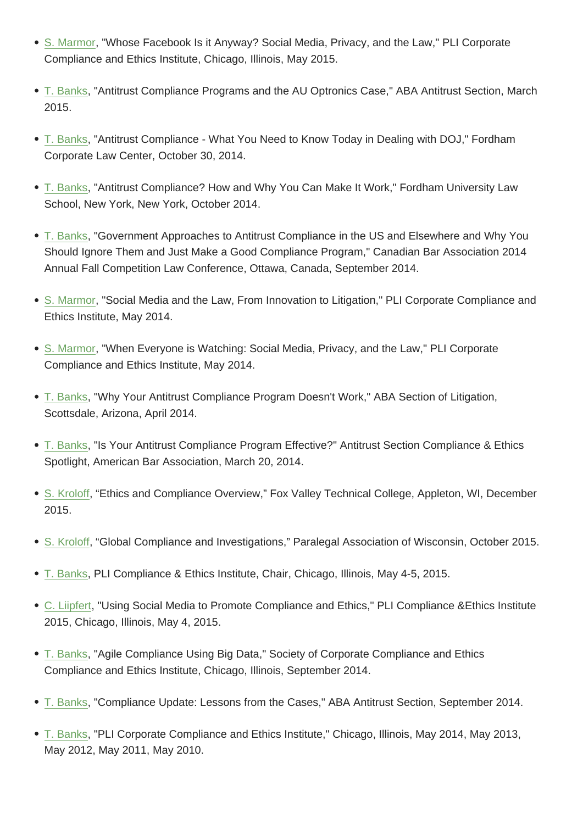Compliance and Ethics Institute, Chicago, Illinois, May 2015.

- [T. Banks, "](http://nw2017.scharfbanks.com/who-we-are/attorneys/sarah-r-marmor)Antitrust Compliance Programs and the AU Optronics Case," ABA Antitrust Section, March 2015.
- [T. Banks,](http://nw2017.scharfbanks.com/who-we-are/attorneys/theodore-l-banks) "Antitrust Compliance What You Need to Know Today in Dealing with DOJ," Fordham Corporate Law Center, October 30, 2014.
- [T. Banks,](http://nw2017.scharfbanks.com/who-we-are/attorneys/theodore-l-banks) "Antitrust Compliance? How and Why You Can Make It Work," Fordham University Law School, New York, New York, October 2014.
- [T. Banks,](http://nw2017.scharfbanks.com/who-we-are/attorneys/theodore-l-banks) "Government Approaches to Antitrust Compliance in the US and Elsewhere and Why You Should Ignore Them and Just Make a Good Compliance Program," Canadian Bar Association 2014 Annual Fall Competition Law Conference, Ottawa, Canada, September 2014.
- S. Marmor, "Social Media and the Law, From Innovation to Litigation," PLI Corporate Compliance and Ethics Institute, May 2014.
- [S. Marmor,](http://nw2017.scharfbanks.com/who-we-are/attorneys/sarah-r-marmor) "When Everyone is Watching: Social Media, Privacy, and the Law," PLI Corporate Compliance and Ethics Institute, May 2014.
- [T. Banks, "](http://nw2017.scharfbanks.com/who-we-are/attorneys/sarah-r-marmor)Why Your Antitrust Compliance Program Doesn't Work," ABA Section of Litigation, Scottsdale, Arizona, April 2014.
- [T. Banks,](http://nw2017.scharfbanks.com/who-we-are/attorneys/theodore-l-banks) "Is Your Antitrust Compliance Program Effective?" Antitrust Section Compliance & Ethics Spotlight, American Bar Association, March 20, 2014.
- [S. Kroloff](http://nw2017.scharfbanks.com/who-we-are/attorneys/theodore-l-banks), "Ethics and Compliance Overview," Fox Valley Technical College, Appleton, WI, December 2015.
- [S. Kroloff,](http://nw2017.scharfbanks.com/who-we-are/attorneys/steve-kroloff) "Global Compliance and Investigations," Paralegal Association of Wisconsin, October 2015.
- T. Banks, PLI Compliance & Ethics Institute, Chair, Chicago, Illinois, May 4-5, 2015.
- C. Liipfert, "Using Social Media to Promote Compliance and Ethics," PLI Compliance &Ethics Institute [2015, Ch](http://nw2017.scharfbanks.com/who-we-are/attorneys/theodore-l-banks)icago, Illinois, May 4, 2015.
- [T. Banks,](http://nw2017.scharfbanks.com/who-we-are/attorneys/christian-liipfert) "Agile Compliance Using Big Data," Society of Corporate Compliance and Ethics Compliance and Ethics Institute, Chicago, Illinois, September 2014.
- [T. Banks,](http://nw2017.scharfbanks.com/who-we-are/attorneys/theodore-l-banks) "Compliance Update: Lessons from the Cases," ABA Antitrust Section, September 2014.
- T. Banks, "PLI Corporate Compliance and Ethics Institute," Chicago, Illinois, May 2014, May 2013, [May 2012](http://nw2017.scharfbanks.com/who-we-are/attorneys/theodore-l-banks), May 2011, May 2010.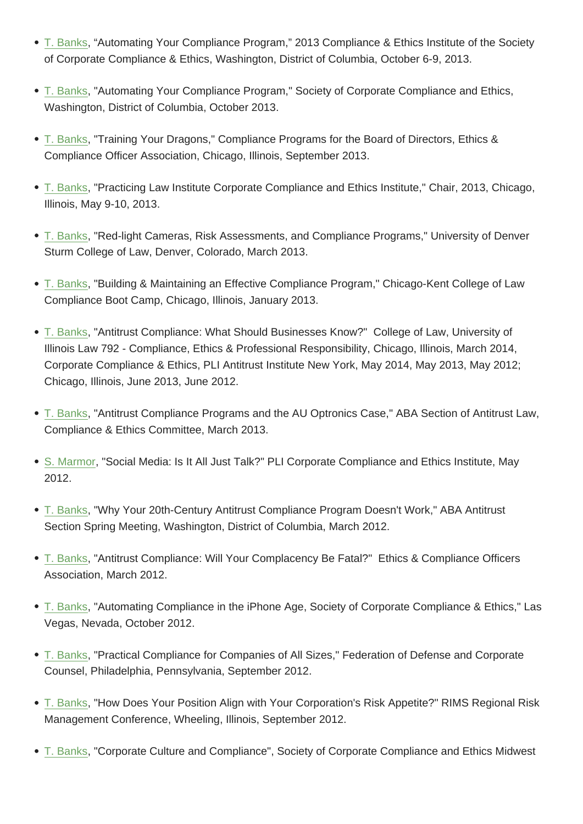- of Corporate Compliance & Ethics, Washington, District of Columbia, October 6-9, 2013.
- [T. Banks,](http://nw2017.scharfbanks.com/who-we-are/attorneys/theodore-l-banks) "Automating Your Compliance Program," Society of Corporate Compliance and Ethics, Washington, District of Columbia, October 2013.
- [T. Banks,](http://nw2017.scharfbanks.com/who-we-are/attorneys/theodore-l-banks) "Training Your Dragons," Compliance Programs for the Board of Directors, Ethics & Compliance Officer Association, Chicago, Illinois, September 2013.
- [T. Banks,](http://nw2017.scharfbanks.com/who-we-are/attorneys/theodore-l-banks) "Practicing Law Institute Corporate Compliance and Ethics Institute," Chair, 2013, Chicago, Illinois, May 9-10, 2013.
- [T. Banks,](http://nw2017.scharfbanks.com/who-we-are/attorneys/theodore-l-banks) "Red-light Cameras, Risk Assessments, and Compliance Programs," University of Denver Sturm College of Law, Denver, Colorado, March 2013.
- [T. Banks,](http://nw2017.scharfbanks.com/who-we-are/attorneys/theodore-l-banks) "Building & Maintaining an Effective Compliance Program," Chicago-Kent College of Law Compliance Boot Camp, Chicago, Illinois, January 2013.
- [T. Banks,](http://nw2017.scharfbanks.com/who-we-are/attorneys/theodore-l-banks) "Antitrust Compliance: What Should Businesses Know?" College of Law, University of Illinois Law 792 - Compliance, Ethics & Professional Responsibility, Chicago, Illinois, March 2014, Corporate Compliance & Ethics, PLI Antitrust Institute New York, May 2014, May 2013, May 2012; [Chicago,](http://nw2017.scharfbanks.com/who-we-are/attorneys/theodore-l-banks) Illinois, June 2013, June 2012.
- T. Banks, "Antitrust Compliance Programs and the AU Optronics Case," ABA Section of Antitrust Law, Compliance & Ethics Committee, March 2013.
- [S. Marmo](http://nw2017.scharfbanks.com/who-we-are/attorneys/theodore-l-banks)r, "Social Media: Is It All Just Talk?" PLI Corporate Compliance and Ethics Institute, May 2012.
- [T. Banks, "](http://nw2017.scharfbanks.com/who-we-are/attorneys/sarah-r-marmor)Why Your 20th-Century Antitrust Compliance Program Doesn't Work," ABA Antitrust Section Spring Meeting, Washington, District of Columbia, March 2012.
- [T. Banks,](http://nw2017.scharfbanks.com/who-we-are/attorneys/theodore-l-banks) "Antitrust Compliance: Will Your Complacency Be Fatal?" Ethics & Compliance Officers Association, March 2012.
- [T. Banks,](http://nw2017.scharfbanks.com/who-we-are/attorneys/theodore-l-banks) "Automating Compliance in the iPhone Age, Society of Corporate Compliance & Ethics," Las Vegas, Nevada, October 2012.
- [T. Banks,](http://nw2017.scharfbanks.com/who-we-are/attorneys/theodore-l-banks) "Practical Compliance for Companies of All Sizes," Federation of Defense and Corporate Counsel, Philadelphia, Pennsylvania, September 2012.
- [T. Banks,](http://nw2017.scharfbanks.com/who-we-are/attorneys/theodore-l-banks) "How Does Your Position Align with Your Corporation's Risk Appetite?" RIMS Regional Risk Management Conference, Wheeling, Illinois, September 2012.
- [T. Banks,](http://nw2017.scharfbanks.com/who-we-are/attorneys/theodore-l-banks) "Corporate Culture and Compliance", Society of Corporate Compliance and Ethics Midwest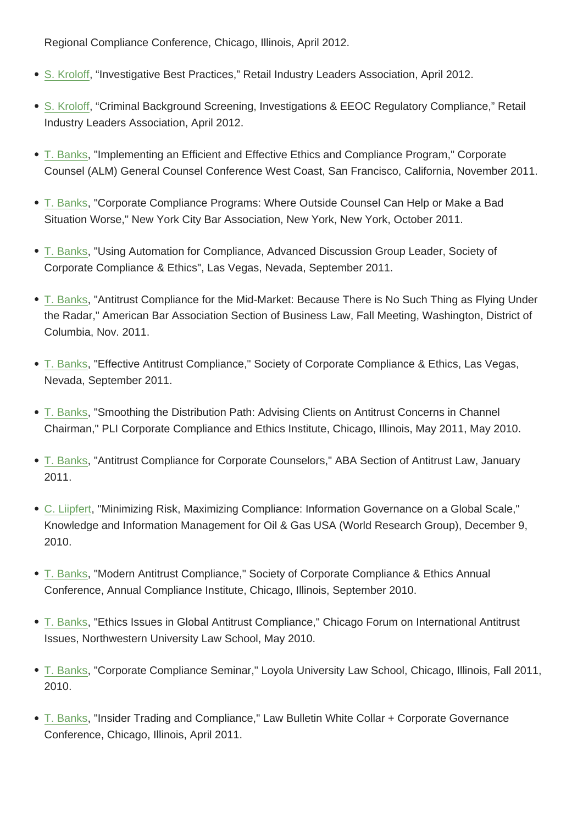- S. Kroloff, "Investigative Best Practices," Retail Industry Leaders Association, April 2012.
- S. Kroloff, "Criminal Background Screening, Investigations & EEOC Regulatory Compliance," Retail [Industry L](http://nw2017.scharfbanks.com/who-we-are/attorneys/steve-kroloff)eaders Association, April 2012.
- [T. Banks,](http://nw2017.scharfbanks.com/who-we-are/attorneys/steve-kroloff) "Implementing an Efficient and Effective Ethics and Compliance Program," Corporate Counsel (ALM) General Counsel Conference West Coast, San Francisco, California, November 2011.
- [T. Banks,](http://nw2017.scharfbanks.com/who-we-are/attorneys/theodore-l-banks) "Corporate Compliance Programs: Where Outside Counsel Can Help or Make a Bad Situation Worse," New York City Bar Association, New York, New York, October 2011.
- [T. Banks,](http://nw2017.scharfbanks.com/who-we-are/attorneys/theodore-l-banks) "Using Automation for Compliance, Advanced Discussion Group Leader, Society of Corporate Compliance & Ethics", Las Vegas, Nevada, September 2011.
- [T. Banks,](http://nw2017.scharfbanks.com/who-we-are/attorneys/theodore-l-banks) "Antitrust Compliance for the Mid-Market: Because There is No Such Thing as Flying Under the Radar," American Bar Association Section of Business Law, Fall Meeting, Washington, District of Columbia, Nov. 2011.
- T. Banks, "Effective Antitrust Compliance," Society of Corporate Compliance & Ethics, Las Vegas, Nevada, September 2011.
- [T. Banks,](http://nw2017.scharfbanks.com/who-we-are/attorneys/theodore-l-banks) "Smoothing the Distribution Path: Advising Clients on Antitrust Concerns in Channel Chairman," PLI Corporate Compliance and Ethics Institute, Chicago, Illinois, May 2011, May 2010.
- [T. Banks,](http://nw2017.scharfbanks.com/who-we-are/attorneys/theodore-l-banks) "Antitrust Compliance for Corporate Counselors," ABA Section of Antitrust Law, January 2011.
- [C. Liipfer](http://nw2017.scharfbanks.com/who-we-are/attorneys/theodore-l-banks)t, "Minimizing Risk, Maximizing Compliance: Information Governance on a Global Scale," Knowledge and Information Management for Oil & Gas USA (World Research Group), December 9, 2010.
- T. Banks, "Modern Antitrust Compliance," Society of Corporate Compliance & Ethics Annual Conference, Annual Compliance Institute, Chicago, Illinois, September 2010.
- [T. Banks,](http://nw2017.scharfbanks.com/who-we-are/attorneys/theodore-l-banks) "Ethics Issues in Global Antitrust Compliance," Chicago Forum on International Antitrust Issues, Northwestern University Law School, May 2010.
- [T. Banks,](http://nw2017.scharfbanks.com/who-we-are/attorneys/theodore-l-banks) "Corporate Compliance Seminar," Loyola University Law School, Chicago, Illinois, Fall 2011, 2010.
- [T. Banks,](http://nw2017.scharfbanks.com/who-we-are/attorneys/theodore-l-banks) "Insider Trading and Compliance," Law Bulletin White Collar + Corporate Governance Conference, Chicago, Illinois, April 2011.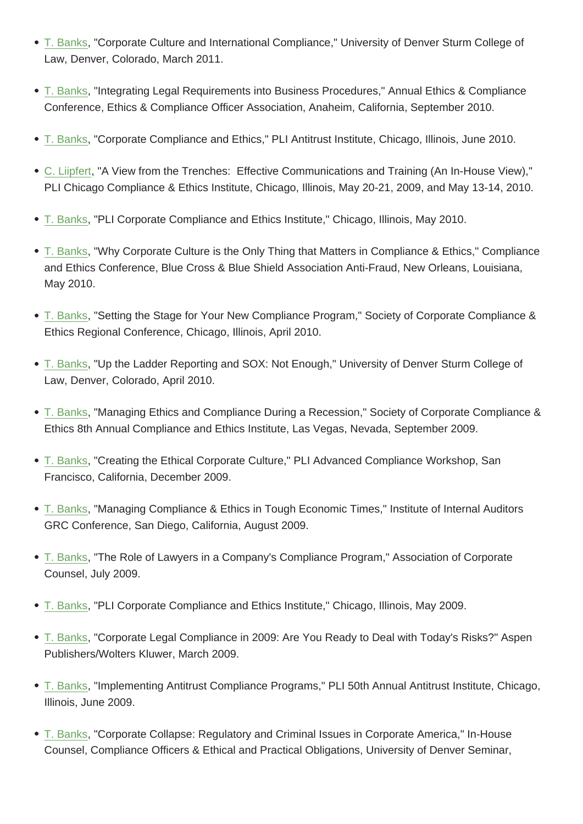Law, Denver, Colorado, March 2011.

- [T. Banks,](http://nw2017.scharfbanks.com/who-we-are/attorneys/theodore-l-banks) "Integrating Legal Requirements into Business Procedures," Annual Ethics & Compliance Conference, Ethics & Compliance Officer Association, Anaheim, California, September 2010.
- [T. Banks,](http://nw2017.scharfbanks.com/who-we-are/attorneys/theodore-l-banks) "Corporate Compliance and Ethics," PLI Antitrust Institute, Chicago, Illinois, June 2010.
- C. Liipfert, "A View from the Trenches: Effective Communications and Training (An In-House View)," [PLI Chica](http://nw2017.scharfbanks.com/who-we-are/attorneys/theodore-l-banks)go Compliance & Ethics Institute, Chicago, Illinois, May 20-21, 2009, and May 13-14, 2010.
- [T. Banks,](http://nw2017.scharfbanks.com/who-we-are/attorneys/christian-liipfert) "PLI Corporate Compliance and Ethics Institute," Chicago, Illinois, May 2010.
- T. Banks, "Why Corporate Culture is the Only Thing that Matters in Compliance & Ethics," Compliance [and Ethic](http://nw2017.scharfbanks.com/who-we-are/attorneys/theodore-l-banks)s Conference, Blue Cross & Blue Shield Association Anti-Fraud, New Orleans, Louisiana, May 2010.
- T. Banks, "Setting the Stage for Your New Compliance Program," Society of Corporate Compliance & Ethics Regional Conference, Chicago, Illinois, April 2010.
- [T. Banks,](http://nw2017.scharfbanks.com/who-we-are/attorneys/theodore-l-banks) "Up the Ladder Reporting and SOX: Not Enough," University of Denver Sturm College of Law, Denver, Colorado, April 2010.
- [T. Banks,](http://nw2017.scharfbanks.com/who-we-are/attorneys/theodore-l-banks) "Managing Ethics and Compliance During a Recession," Society of Corporate Compliance & Ethics 8th Annual Compliance and Ethics Institute, Las Vegas, Nevada, September 2009.
- [T. Banks,](http://nw2017.scharfbanks.com/who-we-are/attorneys/theodore-l-banks) "Creating the Ethical Corporate Culture," PLI Advanced Compliance Workshop, San Francisco, California, December 2009.
- [T. Banks,](http://nw2017.scharfbanks.com/who-we-are/attorneys/theodore-l-banks) "Managing Compliance & Ethics in Tough Economic Times," Institute of Internal Auditors GRC Conference, San Diego, California, August 2009.
- [T. Banks,](http://nw2017.scharfbanks.com/who-we-are/attorneys/theodore-l-banks) "The Role of Lawyers in a Company's Compliance Program," Association of Corporate Counsel, July 2009.
- [T. Banks,](http://nw2017.scharfbanks.com/who-we-are/attorneys/theodore-l-banks) "PLI Corporate Compliance and Ethics Institute," Chicago, Illinois, May 2009.
- T. Banks, "Corporate Legal Compliance in 2009: Are You Ready to Deal with Today's Risks?" Aspen [Publisher](http://nw2017.scharfbanks.com/who-we-are/attorneys/theodore-l-banks)s/Wolters Kluwer, March 2009.
- [T. Banks,](http://nw2017.scharfbanks.com/who-we-are/attorneys/theodore-l-banks) "Implementing Antitrust Compliance Programs," PLI 50th Annual Antitrust Institute, Chicago, Illinois, June 2009.
- [T. Banks,](http://nw2017.scharfbanks.com/who-we-are/attorneys/theodore-l-banks) "Corporate Collapse: Regulatory and Criminal Issues in Corporate America," In-House Counsel, Compliance Officers & Ethical and Practical Obligations, University of Denver Seminar,